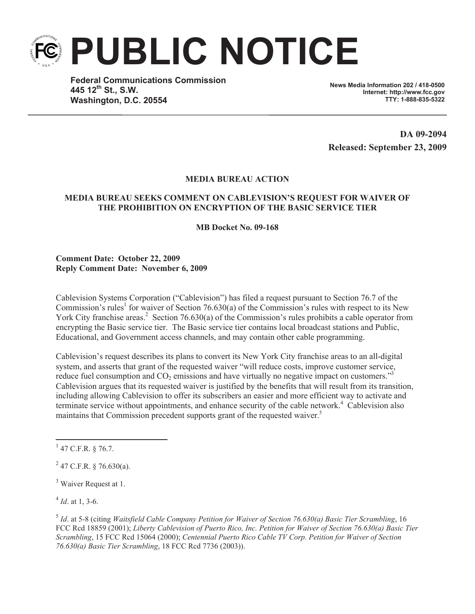

**Federal Communications Commission 445 12th St., S.W. Washington, D.C. 20554**

**News Media Information 202 / 418-0500 Internet: http://www.fcc.gov TTY: 1-888-835-5322**

**DA 09-2094 Released: September 23, 2009**

## **MEDIA BUREAU ACTION**

## **MEDIA BUREAU SEEKS COMMENT ON CABLEVISION'S REQUEST FOR WAIVER OF THE PROHIBITION ON ENCRYPTION OF THE BASIC SERVICE TIER**

**MB Docket No. 09-168**

**Comment Date: October 22, 2009 Reply Comment Date: November 6, 2009**

Cablevision Systems Corporation ("Cablevision") has filed a request pursuant to Section 76.7 of the Commission's rules<sup>1</sup> for waiver of Section 76.630(a) of the Commission's rules with respect to its New York City franchise areas.<sup>2</sup> Section 76.630(a) of the Commission's rules prohibits a cable operator from encrypting the Basic service tier. The Basic service tier contains local broadcast stations and Public, Educational, and Government access channels, and may contain other cable programming.

Cablevision's request describes its plans to convert its New York City franchise areas to an all-digital system, and asserts that grant of the requested waiver "will reduce costs, improve customer service, reduce fuel consumption and  $CO<sub>2</sub>$  emissions and have virtually no negative impact on customers."<sup>3</sup> Cablevision argues that its requested waiver is justified by the benefits that will result from its transition, including allowing Cablevision to offer its subscribers an easier and more efficient way to activate and terminate service without appointments, and enhance security of the cable network.<sup>4</sup> Cablevision also maintains that Commission precedent supports grant of the requested waiver.<sup>5</sup>

 $3$  Waiver Request at 1.

 $^{4}$  *Id.* at 1, 3-6.

5 *Id*. at 5-8 (citing *Waitsfield Cable Company Petition for Waiver of Section 76.630(a) Basic Tier Scrambling*, 16 FCC Rcd 18859 (2001); *Liberty Cablevision of Puerto Rico, Inc. Petition for Waiver of Section 76.630(a) Basic Tier Scrambling*, 15 FCC Rcd 15064 (2000); *Centennial Puerto Rico Cable TV Corp. Petition for Waiver of Section 76.630(a) Basic Tier Scrambling*, 18 FCC Rcd 7736 (2003)).

 $1$  47 C.F.R. § 76.7.

 $^{2}$  47 C.F.R. § 76.630(a).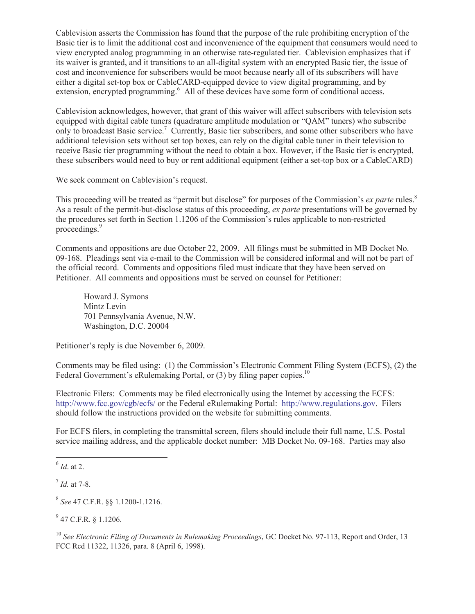Cablevision asserts the Commission has found that the purpose of the rule prohibiting encryption of the Basic tier is to limit the additional cost and inconvenience of the equipment that consumers would need to view encrypted analog programming in an otherwise rate-regulated tier. Cablevision emphasizes that if its waiver is granted, and it transitions to an all-digital system with an encrypted Basic tier, the issue of cost and inconvenience for subscribers would be moot because nearly all of its subscribers will have either a digital set-top box or CableCARD-equipped device to view digital programming, and by extension, encrypted programming.<sup>6</sup> All of these devices have some form of conditional access.

Cablevision acknowledges, however, that grant of this waiver will affect subscribers with television sets equipped with digital cable tuners (quadrature amplitude modulation or "QAM" tuners) who subscribe only to broadcast Basic service.<sup>7</sup> Currently, Basic tier subscribers, and some other subscribers who have additional television sets without set top boxes, can rely on the digital cable tuner in their television to receive Basic tier programming without the need to obtain a box. However, if the Basic tier is encrypted, these subscribers would need to buy or rent additional equipment (either a set-top box or a CableCARD)

We seek comment on Cablevision's request.

This proceeding will be treated as "permit but disclose" for purposes of the Commission's *ex parte* rules.<sup>8</sup> As a result of the permit-but-disclose status of this proceeding, *ex parte* presentations will be governed by the procedures set forth in Section 1.1206 of the Commission's rules applicable to non-restricted proceedings.<sup>9</sup>

Comments and oppositions are due October 22, 2009. All filings must be submitted in MB Docket No. 09-168. Pleadings sent via e-mail to the Commission will be considered informal and will not be part of the official record. Comments and oppositions filed must indicate that they have been served on Petitioner. All comments and oppositions must be served on counsel for Petitioner:

Howard J. Symons Mintz Levin 701 Pennsylvania Avenue, N.W. Washington, D.C. 20004

Petitioner's reply is due November 6, 2009.

Comments may be filed using: (1) the Commission's Electronic Comment Filing System (ECFS), (2) the Federal Government's eRulemaking Portal, or  $(3)$  by filing paper copies.<sup>10</sup>

Electronic Filers: Comments may be filed electronically using the Internet by accessing the ECFS: http://www.fcc.gov/cgb/ecfs/ or the Federal eRulemaking Portal: http://www.regulations.gov. Filers should follow the instructions provided on the website for submitting comments.

For ECFS filers, in completing the transmittal screen, filers should include their full name, U.S. Postal service mailing address, and the applicable docket number: MB Docket No. 09-168. Parties may also

 $^{9}$  47 C.F.R. § 1.1206.

<sup>10</sup> See Electronic Filing of Documents in Rulemaking Proceedings, GC Docket No. 97-113, Report and Order, 13 FCC Rcd 11322, 11326, para. 8 (April 6, 1998).

<sup>6</sup> *Id*. at 2.

<sup>7</sup> *Id.* at 7-8.

<sup>8</sup> *See* 47 C.F.R. §§ 1.1200-1.1216.